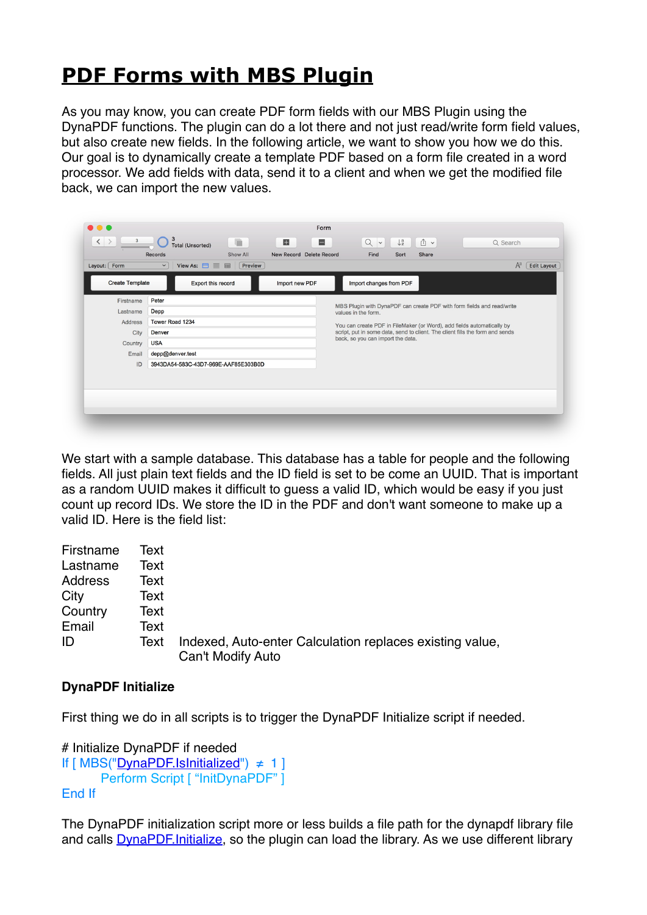# **[PDF Forms with MBS Plugin](https://www.mbs-plugins.com/archive/2018-04-21/PDF_Forms_with_MBS_Plugin/monkeybreadsoftware_blog_filemaker)**

As you may know, you can create PDF form fields with our MBS Plugin using the DynaPDF functions. The plugin can do a lot there and not just read/write form field values, but also create new fields. In the following article, we want to show you how we do this. Our goal is to dynamically create a template PDF based on a form file created in a word processor. We add fields with data, send it to a client and when we get the modified file back, we can import the new values.

| Layout: Form           | Records<br>$\vee$                    | View As: $\Box \equiv \boxplus$ | Show All<br>[ Preview ] | New Record Delete Record                                                      |                                                                                               | Find                    | Sort | Share |  | $A^a$ | <b>Edit Layout</b> |  |
|------------------------|--------------------------------------|---------------------------------|-------------------------|-------------------------------------------------------------------------------|-----------------------------------------------------------------------------------------------|-------------------------|------|-------|--|-------|--------------------|--|
| <b>Create Template</b> |                                      | Export this record              |                         | Import new PDF                                                                |                                                                                               | Import changes from PDF |      |       |  |       |                    |  |
| Firstname              | Peter                                |                                 |                         |                                                                               |                                                                                               |                         |      |       |  |       |                    |  |
| Lastname               | Depp                                 |                                 |                         |                                                                               | MBS Plugin with DynaPDF can create PDF with form fields and read/write<br>values in the form. |                         |      |       |  |       |                    |  |
| Address                | Tower Road 1234                      |                                 |                         |                                                                               | You can create PDF in FileMaker (or Word), add fields automatically by                        |                         |      |       |  |       |                    |  |
| City                   | Denver                               |                                 |                         | script, put in some data, send to client. The client fills the form and sends |                                                                                               |                         |      |       |  |       |                    |  |
| Country                | <b>USA</b>                           |                                 |                         |                                                                               | back, so you can import the data.                                                             |                         |      |       |  |       |                    |  |
| Email                  | depp@denver.test                     |                                 |                         |                                                                               |                                                                                               |                         |      |       |  |       |                    |  |
| ID                     | 3943DA54-583C-43D7-969E-AAF85E303B0D |                                 |                         |                                                                               |                                                                                               |                         |      |       |  |       |                    |  |
|                        |                                      |                                 |                         |                                                                               |                                                                                               |                         |      |       |  |       |                    |  |
|                        |                                      |                                 |                         |                                                                               |                                                                                               |                         |      |       |  |       |                    |  |

We start with a sample database. This database has a table for people and the following fields. All just plain text fields and the ID field is set to be come an UUID. That is important as a random UUID makes it difficult to guess a valid ID, which would be easy if you just count up record IDs. We store the ID in the PDF and don't want someone to make up a valid ID. Here is the field list:

| Firstname | Text |                                                                               |
|-----------|------|-------------------------------------------------------------------------------|
| Lastname  | Text |                                                                               |
| Address   | Text |                                                                               |
| City      | Text |                                                                               |
| Country   | Text |                                                                               |
| Email     | Text |                                                                               |
| ID        | Text | Indexed, Auto-enter Calculation replaces existing value,<br>Can't Modify Auto |

#### **DynaPDF Initialize**

First thing we do in all scripts is to trigger the DynaPDF Initialize script if needed.

```
# Initialize DynaPDF if needed
If [MBS("DynaPDF.1sInitialized") \neq 1]Perform Script [ "InitDynaPDF" ]
End If
```
The DynaPDF initialization script more or less builds a file path for the dynapdf library file and calls [DynaPDF.Initialize,](http://www.mbsplugins.eu/DynaPDFInitialize.shtml) so the plugin can load the library. As we use different library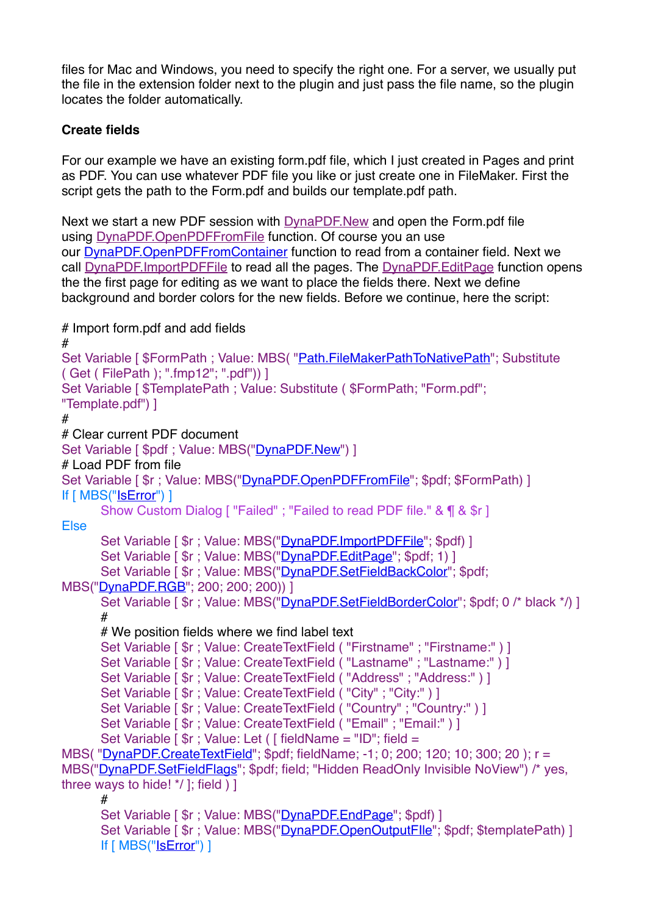files for Mac and Windows, you need to specify the right one. For a server, we usually put the file in the extension folder next to the plugin and just pass the file name, so the plugin locates the folder automatically.

# **Create fields**

For our example we have an existing form.pdf file, which I just created in Pages and print as PDF. You can use whatever PDF file you like or just create one in FileMaker. First the script gets the path to the Form.pdf and builds our template.pdf path.

Next we start a new PDF session with [DynaPDF.New](http://www.mbsplugins.eu/DynaPDFNew.shtml) and open the Form.pdf file using [DynaPDF.OpenPDFFromFile](http://www.mbsplugins.eu/DynaPDFOpenPDFFromFile.shtml) function. Of course you an use our [DynaPDF.OpenPDFFromContainer](http://www.mbsplugins.eu/DynaPDFOpenPDFFromContainer.shtml) function to read from a container field. Next we call [DynaPDF.ImportPDFFile](http://www.mbsplugins.eu/DynaPDFImportPDFFile.shtml) to read all the pages. The [DynaPDF.EditPage](http://www.mbsplugins.eu/DynaPDFEditPage.shtml) function opens the the first page for editing as we want to place the fields there. Next we define background and border colors for the new fields. Before we continue, here the script:

# Import form.pdf and add fields

```
#
Path.FileMakerPathToNativePath"; Substitute
( Get ( FilePath ); ".fmp12"; ".pdf")) ]
Set Variable [ $TemplatePath ; Value: Substitute ( $FormPath; "Form.pdf"; 
"Template.pdf") ]
#
# Clear current PDF document
"DynaPDF.New") ]
# Load PDF from file
DynaPDF.OpenPDFFromFile"; $pdf; $FormPath) ]
If [ MBS("IsError") ]
     Show Custom Dialog [ "Failed" ; "Failed to read PDF file." & \P & $r ]
Else
     DynaPDF.ImportPDFFile"; $pdf) ]
     DynaPDF.EditPage"; $pdf; 1) ]
     DynaPDF.SetFieldBackColor"; $pdf;
MBS("DynaPDF.RGB"; 200; 200; 200)) ]
     DynaPDF.SetFieldBorderColor"; $pdf; 0 /* black */) ]
     #
     # We position fields where we find label text
     Set Variable [$r ; Value: CreateTextField ( "Firstname" ; "Firstname:" ) ]
     Set Variable [$r ; Value: CreateTextField ("Lastname" ; "Lastname:") ]
     Set Variable [$r ; Value: CreateTextField ( "Address" ; "Address:" ) ]
     Set Variable [$r ; Value: CreateTextField ("City" ; "City:") ]
     Set Variable [$r ; Value: CreateTextField ( "Country" ; "Country:" ) ]
     Set Variable [ \frac{1}{2}r ; Value: CreateTextField ( "Email" ; "Email:" ) ]
     Set Variable [ $r ; Value: Let ( [ fieldName = "ID"; field = 
MBS( "DynaPDF.CreateTextField"; $pdf; fieldName; -1; 0; 200; 120; 10; 300; 20 ); r = 
DynaPDF.SetFieldFlags"; $pdf; field; "Hidden ReadOnly Invisible NoView") /* ves,
three ways to hide! */ ]; field ) ]
     #
     DynaPDF.EndPage"; $pdf) ]
     DynaPDF.OpenOutputFIle"; $pdf; $templatePath) ]
     If [ MBS("IsError") ]
```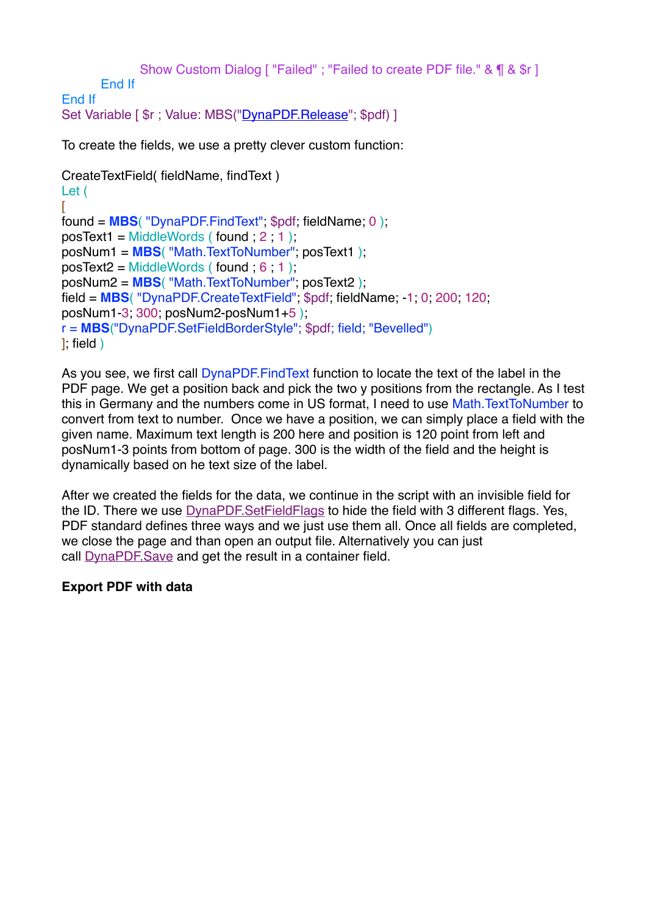Show Custom Dialog [ "Failed" ; "Failed to create PDF file." &  $\P$  & \$r ] End If End If Set Variable [  $\frac{1}{2}$ r ; Value: MBS("DynaPDF. Release"; \$pdf) ]

To create the fields, we use a pretty clever custom function:

```
CreateTextField( fieldName, findText )
Let (
[
found = MBS( "DynaPDF.FindText"; $pdf; fieldName; 0 );
posText1 = MiddleWords (found : 2 : 1):posNum1 = MBS( "Math.TextToNumber"; posText1 );
posText2 = MiddleWords (found ; 6 ; 1);posNum2 = MBS( "Math.TextToNumber"; posText2 );
field = MBS( "DynaPDF.CreateTextField"; $pdf; fieldName; -1; 0; 200; 120; 
posNum1-3; 300; posNum2-posNum1+5 );
r = MBS("DynaPDF.SetFieldBorderStyle"; $pdf; field; "Bevelled")
\mathbf{I}: field \mathbf{I}
```
As you see, we first call DynaPDF.FindText function to locate the text of the label in the PDF page. We get a position back and pick the two y positions from the rectangle. As I test this in Germany and the numbers come in US format, I need to use Math.TextToNumber to convert from text to number. Once we have a position, we can simply place a field with the given name. Maximum text length is 200 here and position is 120 point from left and posNum1-3 points from bottom of page. 300 is the width of the field and the height is dynamically based on he text size of the label.

After we created the fields for the data, we continue in the script with an invisible field for the ID. There we use [DynaPDF.SetFieldFlags](http://www.mbsplugins.eu/DynaPDFSetFieldFlags.shtml) to hide the field with 3 different flags. Yes, PDF standard defines three ways and we just use them all. Once all fields are completed, we close the page and than open an output file. Alternatively you can just call [DynaPDF.Save](http://www.mbsplugins.eu/DynaPDFSave.shtml) and get the result in a container field.

### **Export PDF with data**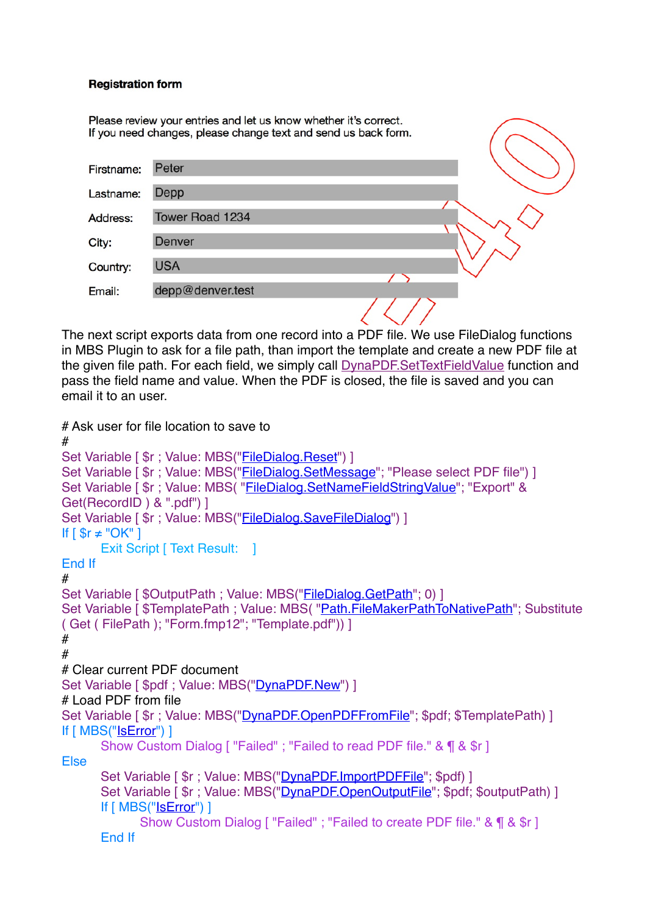#### **Registration form**

Please review your entries and let us know whether it's correct. If you need changes, please change text and send us back form. Peter Firstname: Depp Lastname: Address: **Tower Road 1234** Denver City: Country: **USA** Email: depp@denver.test

The next script exports data from one record into a PDF file. We use FileDialog functions in MBS Plugin to ask for a file path, than import the template and create a new PDF file at the given file path. For each field, we simply call [DynaPDF.SetTextFieldValue](http://www.mbsplugins.eu/DynaPDFSetTextFieldValue.shtml) function and pass the field name and value. When the PDF is closed, the file is saved and you can email it to an user.

# Ask user for file location to save to

```
#
Set Variable [ \frac{1}{2}r ; Value: MBS("FileDialog.Reset") ]
Set Variable [ \text{\$r}FileDialog.SetMessage"; "Please select PDF file") ]
Set Variable [ rFileDialog.SetNameFieldStringValue"; "Export" &
Get(RecordID ) & ".pdf") ]
Set Variable [ \text{\$r}FileDialog.SaveFileDialog") ]
If \lceil $r \neq "OK" ]
      Exit Script [ Text Result: ]
End If
#
"FileDialog.GetPath": 0) ]
Set Variable [ $TemplatePath ; Value: MBS( "Path.FileMakerPathToNativePath"; Substitute
( Get ( FilePath ); "Form.fmp12"; "Template.pdf")) ]
#
#
# Clear current PDF document
"DynaPDF.New") ]
# Load PDF from file
DynaPDF.OpenPDFFromFile"; $pdf; $TemplatePath) ]
If [ MBS("IsError") 1
      Show Custom Dialog [ "Failed" ; "Failed to read PDF file." & \P & $r ]
Else
      Set Variable [ \frac{1}{2}DynaPDF.ImportPDFFile"; $pdf) ]
      Set Variable [ \text{\$r}DynaPDF.OpenOutputFile"; $pdf; $outputPath) ]
      If [ MBS("IsError") ]
            Show Custom Dialog [ "Failed" ; "Failed to create PDF file." & \P & $r ]
      End If
```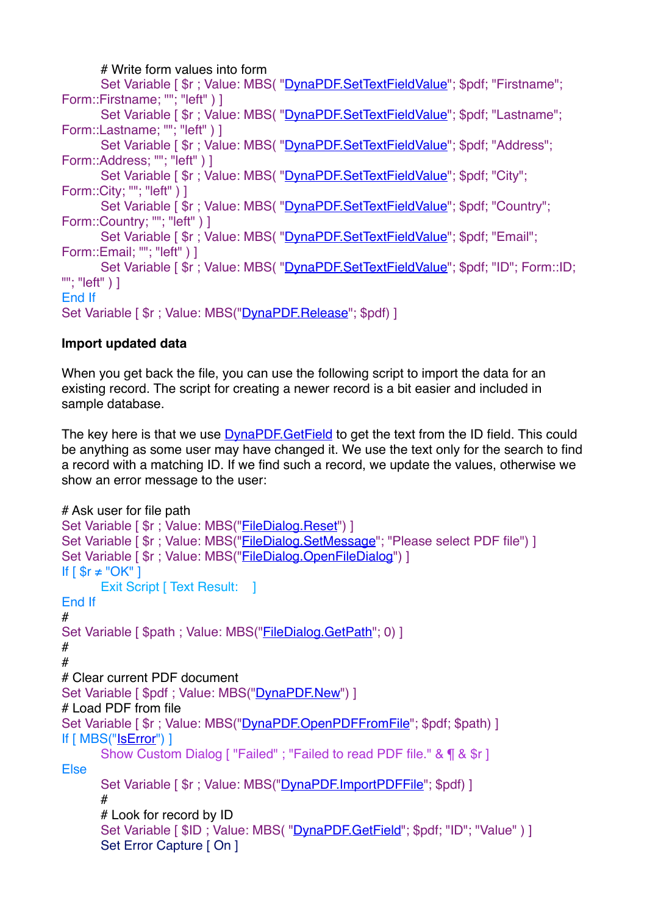# Write form values into form Set Variable [  $r : Value$ : MBS( "[DynaPDF.SetTextFieldValue"](http://www.mbsplugins.eu/DynaPDFSetTextFieldValue.shtml); \$pdf; "Firstname"; Form::Firstname; ""; "left" ) ] Set Variable [\$r; Value: MBS("[DynaPDF.SetTextFieldValue"](http://www.mbsplugins.eu/DynaPDFSetTextFieldValue.shtml); \$pdf; "Lastname"; Form::Lastname; ""; "left" ) ] Set Variable [  $\text{\$r}$  ; Value: MBS( "[DynaPDF.SetTextFieldValue"](http://www.mbsplugins.eu/DynaPDFSetTextFieldValue.shtml); \$pdf; "Address"; Form::Address; ""; "left") ] Set Variable [  $r : Value$ : MBS( "DvnaPDF.SetTextFieldValue": \$pdf: "City": Form::City; ""; "left" ) ] Set Variable [\$r; Value: MBS("[DynaPDF.SetTextFieldValue"](http://www.mbsplugins.eu/DynaPDFSetTextFieldValue.shtml); \$pdf; "Country"; Form::Country; ""; "left" ) ] Set Variable [  $\text{\$r}$  ; Value: MBS( "[DynaPDF.SetTextFieldValue"](http://www.mbsplugins.eu/DynaPDFSetTextFieldValue.shtml); \$pdf; "Email"; Form::Email; ""; "left" ) ] Set Variable [  $\frac{1}{2}r$  ; Value: MBS( "[DynaPDF.SetTextFieldValue"](http://www.mbsplugins.eu/DynaPDFSetTextFieldValue.shtml); \$pdf; "ID"; Form::ID;  $\cdots$ : "left")] End If Set Variable [  $\text{\$r}$  ; Value: MBS("[DynaPDF.Release"](http://www.mbsplugins.eu/DynaPDFRelease.shtml); \$pdf) ]

# **Import updated data**

When you get back the file, you can use the following script to import the data for an existing record. The script for creating a newer record is a bit easier and included in sample database.

The key here is that we use **[DynaPDF.GetField](http://www.mbsplugins.eu/DynaPDFGetField.shtml)** to get the text from the ID field. This could be anything as some user may have changed it. We use the text only for the search to find a record with a matching ID. If we find such a record, we update the values, otherwise we show an error message to the user:

```
# Ask user for file path
Set Variable [ rFileDialog.Reset") ]
FileDialog.SetMessage"; "Please select PDF file") ]
Set Variable [ \frac{1}{2}FileDialog.OpenFileDialog") ]
If [sr \neq "OK"]Exit Script [ Text Result: ]
End If
#
FileDialog.GetPath"; 0) ]
#
#
# Clear current PDF document
"DynaPDF.New") ]
# Load PDF from file
DynaPDF.OpenPDFFromFile"; $pdf; $path) ]
If [ MBS("IsError") ]
     Show Custom Dialog [ "Failed" ; "Failed to read PDF file." & \P & $r ]
Else
     Set Variable [ \text{\$r}DynaPDF.ImportPDFFile": $pdf) ]
     #
     # Look for record by ID
     Set Variable [ $IDDynaPDF.GetField"; $pdf; "ID"; "Value" ) ]
     Set Error Capture [ On ]
```